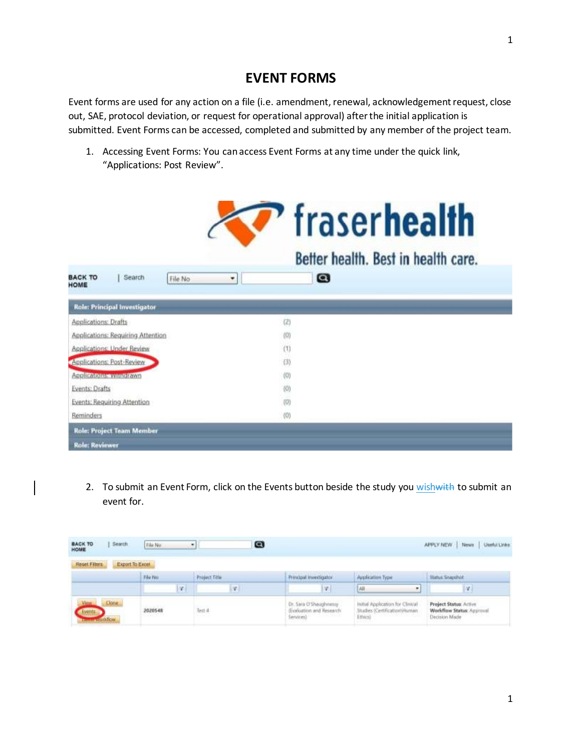## **EVENT FORMS**

Event forms are used for any action on a file (i.e. amendment, renewal, acknowledgement request, close out, SAE, protocol deviation, or request for operational approval) after the initial application is submitted. Event Forms can be accessed, completed and submitted by any member of the project team.

1. Accessing Event Forms: You can access Event Forms at any time under the quick link, "Applications: Post Review".

|                                             | <i><b>Traserhealth</b></i>          |
|---------------------------------------------|-------------------------------------|
|                                             | Better health. Best in health care. |
| <b>BACK TO</b><br>Search<br>File No<br>HOME | $\boldsymbol{\Omega}$<br>٠          |
| <b>Role: Principal Investigator</b>         |                                     |
| Applications: Drafts                        | (2)                                 |
| Applications: Requiring Attention           | (0)                                 |
| Applications: Under Review                  | (1)                                 |
| Applications: Post-Review                   | (3)                                 |
| <b>Аррії саманимичив гама</b>               | (0)                                 |
| <b>Events: Drafts</b>                       | (0)                                 |
| Events: Requiring Attention                 | (0)                                 |
| Reminders                                   | (0)                                 |
| <b>Role: Project Team Member</b>            |                                     |
| Role: Reviewer                              |                                     |

2. To submit an Event Form, click on the Events button beside the study you wish with to submit an event for.

 $\mathsf{l}$ 

| Search<br><b>BACK TO</b><br>HOME                  | Fili No                                    | ø<br>۰               |                                                                                                 |                                                                               | <b>Useful Elriks</b><br>APPLY NEW<br>News                                   |
|---------------------------------------------------|--------------------------------------------|----------------------|-------------------------------------------------------------------------------------------------|-------------------------------------------------------------------------------|-----------------------------------------------------------------------------|
| <b>Reset Filters</b><br>Export To Excel           |                                            |                      |                                                                                                 |                                                                               |                                                                             |
|                                                   | File No.                                   | <b>Project Title</b> | Principal Hyustipator                                                                           | Application Type                                                              | Status Snapshot                                                             |
|                                                   | w.                                         | in 1                 | <b>IV</b>                                                                                       | 剤<br>٠                                                                        | ing t                                                                       |
| Clone.<br><b>Electric Property Communications</b> | <b>SERVICE COLL</b><br>2020548<br>12021559 | Test d               | Dr. Sara O'Shaughstessy<br>Evaluation and Research<br>Services)<br>The Committee of the Control | Initial Application for Clinical<br>Studies (Certification/J-luman<br>Ethics) | <b>Project Status: Active</b><br>Workflow Status: Approval<br>Decision Made |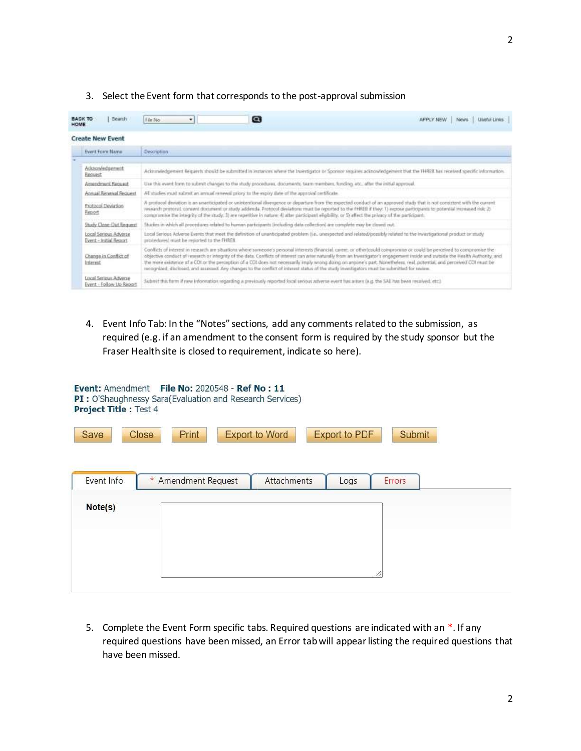## 3. Select the Event form that corresponds to the post-approval submission

| HOME | <b>BACK TO</b><br><b>Bearch</b>                          | File No<br>۰                                                                                                                                                                                                                                                                                                                                                                                                                                                                                               | $\bullet$                                                                                                                                          | APPLY NEW<br>Lineful Links<br>News.                                                                                                                                                                                                                                                                                                                                                                                                                                                                                                       |  |  |
|------|----------------------------------------------------------|------------------------------------------------------------------------------------------------------------------------------------------------------------------------------------------------------------------------------------------------------------------------------------------------------------------------------------------------------------------------------------------------------------------------------------------------------------------------------------------------------------|----------------------------------------------------------------------------------------------------------------------------------------------------|-------------------------------------------------------------------------------------------------------------------------------------------------------------------------------------------------------------------------------------------------------------------------------------------------------------------------------------------------------------------------------------------------------------------------------------------------------------------------------------------------------------------------------------------|--|--|
|      | <b>Create New Event</b>                                  |                                                                                                                                                                                                                                                                                                                                                                                                                                                                                                            |                                                                                                                                                    |                                                                                                                                                                                                                                                                                                                                                                                                                                                                                                                                           |  |  |
|      | Event Form Name                                          | Description                                                                                                                                                                                                                                                                                                                                                                                                                                                                                                |                                                                                                                                                    |                                                                                                                                                                                                                                                                                                                                                                                                                                                                                                                                           |  |  |
|      |                                                          |                                                                                                                                                                                                                                                                                                                                                                                                                                                                                                            |                                                                                                                                                    |                                                                                                                                                                                                                                                                                                                                                                                                                                                                                                                                           |  |  |
|      | Acknowledgement<br>Request                               |                                                                                                                                                                                                                                                                                                                                                                                                                                                                                                            |                                                                                                                                                    | Acknowledgement flequents should be submitted in instances where the Investigator or Sponsor requires acknowledgement that the THREB has received specific information.                                                                                                                                                                                                                                                                                                                                                                   |  |  |
|      | Amendment Request                                        |                                                                                                                                                                                                                                                                                                                                                                                                                                                                                                            | Use this event form to submit changes to the study procedures, documents, team members, funding, etc., after the initial approval,                 |                                                                                                                                                                                                                                                                                                                                                                                                                                                                                                                                           |  |  |
|      | Across Returnal Received                                 | All studies must submit an annual renewal pricey to the expiry date of the approval certificate.                                                                                                                                                                                                                                                                                                                                                                                                           |                                                                                                                                                    |                                                                                                                                                                                                                                                                                                                                                                                                                                                                                                                                           |  |  |
|      | <b>Protocol Deviation</b><br>Report                      | A protocol-deviation is an unanticipated or unintentional divergence or departure from the expected conduct of an approved study that is not consistent with the current.<br>research protocol, convert document or study addends. Protocol deviations must be reported to the FHREE if they: 1) expose participants to potential increased risk; 2)<br>compromise the integrity of the study. 3) are repetitive in nature; 4) alter participant eligibility, or 5) affect the privacy of the participant. |                                                                                                                                                    |                                                                                                                                                                                                                                                                                                                                                                                                                                                                                                                                           |  |  |
|      | Study Close-Dut Request                                  |                                                                                                                                                                                                                                                                                                                                                                                                                                                                                                            | Studies in which all procedures related to human participants (including data collection) are complete may be closed out.                          |                                                                                                                                                                                                                                                                                                                                                                                                                                                                                                                                           |  |  |
|      | Local Serious Adverse<br>Event - Initial Region          | procedured must be reported to the FHREB.                                                                                                                                                                                                                                                                                                                                                                                                                                                                  |                                                                                                                                                    | Local Serious Adverse Events that meet the definition of unanticipated problem (i.e., unexpected and related/possibly related/possibly related to the investigational product or study                                                                                                                                                                                                                                                                                                                                                    |  |  |
|      | Change in Conflict of<br>Interest                        |                                                                                                                                                                                                                                                                                                                                                                                                                                                                                                            | recognized, disclosed, and assessed. Any changes to the conflict of interest status of the study investigators must be submitted for niview.       | Conflicts of interest in research are situations where someone's personal interests (financial, career, or other)could compromise or could be perceived to compromise the<br>objective conduct of research or integrity of the data. Conflicts of interest can arise naturally from an Investigator's engagement inside and suitable the Health Authority, and<br>the more existence of a COI or the perception of a COI does not necessarily imply wrong doing on anyone's part, Nonetheless, real, potential, and perceived COI must be |  |  |
|      | <b>Local Serious Adverse</b><br>Event - Follow Up Report |                                                                                                                                                                                                                                                                                                                                                                                                                                                                                                            | Submit this furm if new information regarding a previously reported local serious adverse event has arisen (e.g. the SAE has been resolved, etc.). |                                                                                                                                                                                                                                                                                                                                                                                                                                                                                                                                           |  |  |

4. Event Info Tab: In the "Notes" sections, add any comments related to the submission, as required (e.g. if an amendment to the consent form is required by the study sponsor but the Fraser Health site is closed to requirement, indicate so here).

| <b>Project Title: Test 4</b><br>Save | Event: Amendment File No: 2020548 - Ref No: 11<br>PI: O'Shaughnessy Sara(Evaluation and Research Services)<br><b>Close</b><br>Print | <b>Export to Word</b> | <b>Export to PDF</b> | Submit |
|--------------------------------------|-------------------------------------------------------------------------------------------------------------------------------------|-----------------------|----------------------|--------|
| Event Info                           | * Amendment Request                                                                                                                 | Attachments           | Logs                 | Errors |
| Note(s)                              |                                                                                                                                     |                       |                      |        |

5. Complete the Event Form specific tabs. Required questions are indicated with an \*. If any required questions have been missed, an Error tab will appear listing the required questions that have been missed.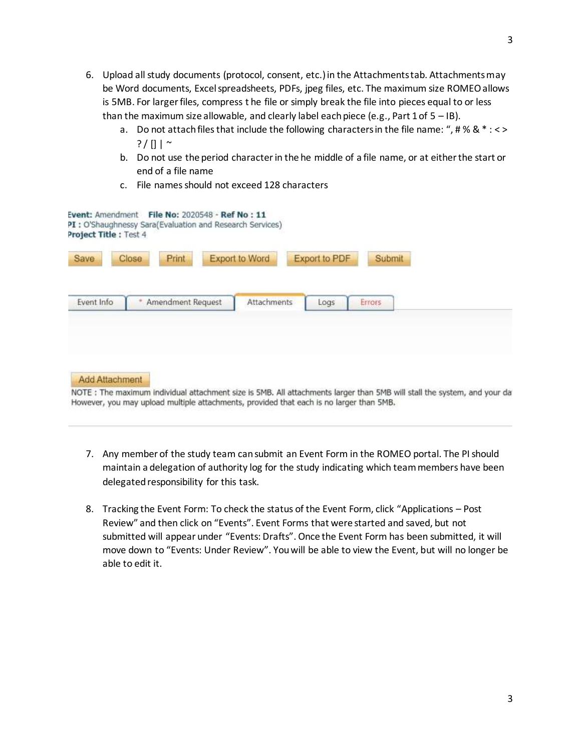- 6. Upload all study documents (protocol, consent, etc.) in the Attachments tab. Attachments may be Word documents, Excel spreadsheets, PDFs, jpeg files, etc. The maximum size ROMEO allows is 5MB. For larger files, compress t he file or simply break the file into pieces equal to or less than the maximum size allowable, and clearly label each piece (e.g., Part 1 of  $5 - IB$ ).
	- a. Do not attach files that include the following characters in the file name: ", # %  $8 * : \langle \rangle$  $? / || |$   $\sim$
	- b. Do not use the period character in the he middle of a file name, or at either the start or end of a file name
	- c. File names should not exceed 128 characters

| Save       | Print<br>Close    | <b>Export to Word</b> | Export to PDF | Submit |
|------------|-------------------|-----------------------|---------------|--------|
| Event Info | Amendment Request | Attachments           | Logs          | Errors |

NOTE: The maximum individual attachment size is SMB. All attachments larger than 5MB will stall the system, and your da However, you may upload multiple attachments, provided that each is no larger than 5MB.

- 7. Any member of the study team can submit an Event Form in the ROMEO portal. The PI should maintain a delegation of authority log for the study indicating which team members have been delegated responsibility for this task.
- 8. Tracking the Event Form: To check the status of the Event Form, click "Applications Post Review" and then click on "Events". Event Forms that were started and saved, but not submitted will appear under "Events: Drafts". Once the Event Form has been submitted, it will move down to "Events: Under Review". You will be able to view the Event, but will no longer be able to edit it.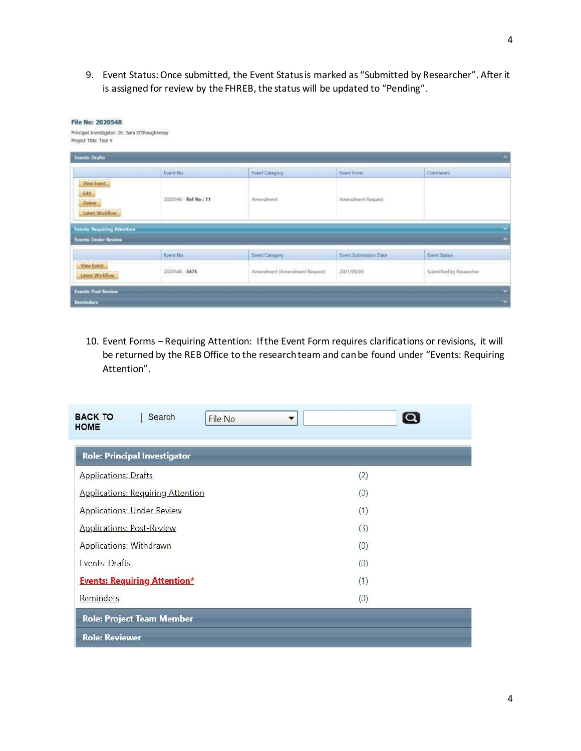9. Event Status: Once submitted, the Event Status is marked as "Submitted by Researcher". After it is assigned for review by the FHREB, the status will be updated to "Pending".

| <b>Events: Drafts</b>                                          |                       |                               |                       |                         |
|----------------------------------------------------------------|-----------------------|-------------------------------|-----------------------|-------------------------|
|                                                                | Event No.             | Event Category                | <b>Event Form</b>     | Comments                |
| <b>View Event</b><br><b>Edit</b><br>Delete:<br>Latest Workflow | 2020548 - Ref No : 11 | Amendment                     | Americansk Request    |                         |
| <b>Tents Requiring Attention</b>                               |                       |                               |                       |                         |
| <b>Teents: Under Review</b>                                    |                       |                               |                       |                         |
|                                                                | Event No              | Event-Category.               | Event Submission Date | <b>Event Status</b>     |
| <b>View Event</b><br>Lidest Worldbay                           | 2020548 - 3475        | Amendment (Amendment Request) | 3031/08/09            | Submitted by Researcher |

10. Event Forms – Requiring Attention: If the Event Form requires clarifications or revisions, it will be returned by the REB Office to the research team and can be found under "Events: Requiring Attention".

| <b>Role: Principal Investigator</b>      |     |
|------------------------------------------|-----|
| <b>Applications: Drafts</b>              | (2) |
| <b>Applications: Requiring Attention</b> | (0) |
| <b>Applications: Under Review</b>        | (1) |
| <b>Applications: Post-Review</b>         | (3) |
| <b>Applications: Withdrawn</b>           | (0) |
| Events: Drafts                           | (0) |
| <b>Events: Requiring Attention*</b>      | (1) |
| Reminders                                | (0) |